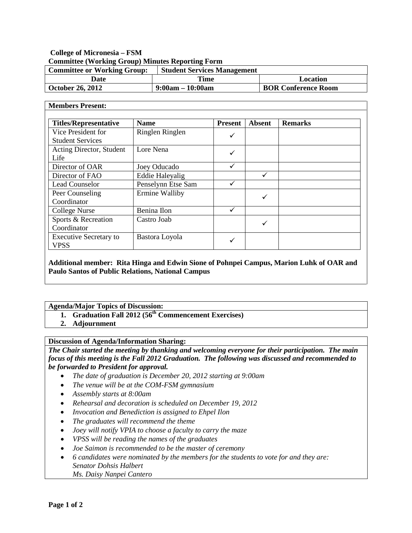# **College of Micronesia – FSM Committee (Working Group) Minutes Reporting Form**

| <b>Committee or Working Group:</b> | <b>Student Services Management</b> |                            |
|------------------------------------|------------------------------------|----------------------------|
| Date                               | Time                               | Location                   |
| October 26, 2012                   | $9:00am - 10:00am$                 | <b>BOR Conference Room</b> |

#### **Members Present:**

| <b>Titles/Representative</b>                  | <b>Name</b>            | <b>Present</b> | <b>Absent</b> | <b>Remarks</b> |
|-----------------------------------------------|------------------------|----------------|---------------|----------------|
| Vice President for<br><b>Student Services</b> | Ringlen Ringlen        | ✓              |               |                |
| Acting Director, Student<br>Life              | Lore Nena              | ✓              |               |                |
| Director of OAR                               | Joey Oducado           |                |               |                |
| Director of FAO                               | <b>Eddie Haleyalig</b> |                |               |                |
| <b>Lead Counselor</b>                         | Penselynn Etse Sam     |                |               |                |
| Peer Counseling<br>Coordinator                | Ermine Walliby         |                | ✓             |                |
| College Nurse                                 | Benina Ilon            |                |               |                |
| Sports & Recreation<br>Coordinator            | Castro Joab            |                | ✓             |                |
| <b>Executive Secretary to</b><br>VPSS         | Bastora Loyola         |                |               |                |

## **Additional member: Rita Hinga and Edwin Sione of Pohnpei Campus, Marion Luhk of OAR and Paulo Santos of Public Relations, National Campus**

### **Agenda/Major Topics of Discussion:**

- 1. **Graduation Fall 2012 (56<sup>th</sup> Commencement Exercises)**
- **2. Adjournment**

### **Discussion of Agenda/Information Sharing:**

*The Chair started the meeting by thanking and welcoming everyone for their participation. The main focus of this meeting is the Fall 2012 Graduation. The following was discussed and recommended to be forwarded to President for approval.*

- *The date of graduation is December 20, 2012 starting at 9:00am*
- *The venue will be at the COM-FSM gymnasium*
- *Assembly starts at 8:00am*
- *Rehearsal and decoration is scheduled on December 19, 2012*
- *Invocation and Benediction is assigned to Ehpel Ilon*
- *The graduates will recommend the theme*
- *Joey will notify VPIA to choose a faculty to carry the maze*
- *VPSS will be reading the names of the graduates*
- *Joe Saimon is recommended to be the master of ceremony*
- *6 candidates were nominated by the members for the students to vote for and they are: Senator Dohsis Halbert Ms. Daisy Nanpei Cantero*